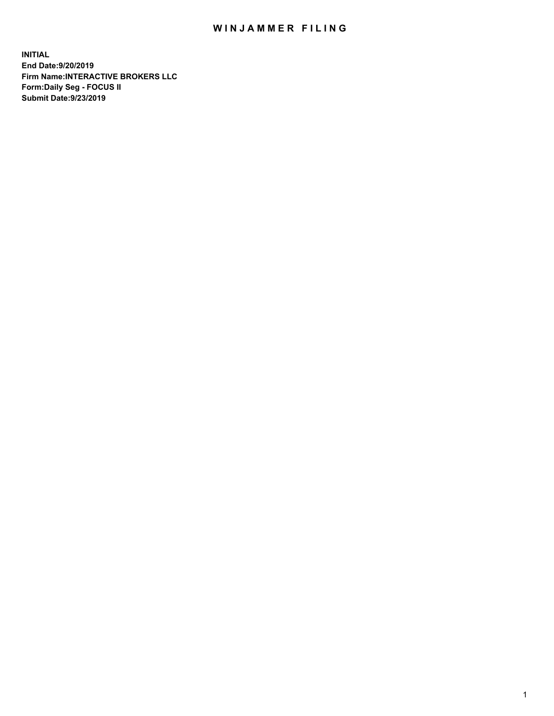## WIN JAMMER FILING

**INITIAL End Date:9/20/2019 Firm Name:INTERACTIVE BROKERS LLC Form:Daily Seg - FOCUS II Submit Date:9/23/2019**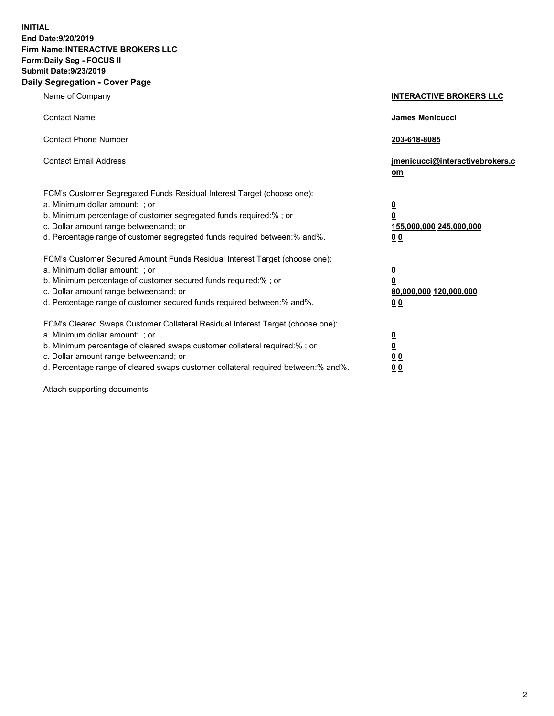**INITIAL End Date:9/20/2019 Firm Name:INTERACTIVE BROKERS LLC Form:Daily Seg - FOCUS II Submit Date:9/23/2019 Daily Segregation - Cover Page**

| Name of Company                                                                                                                                                                                                                                                                                                                | <b>INTERACTIVE BROKERS LLC</b>                                                   |
|--------------------------------------------------------------------------------------------------------------------------------------------------------------------------------------------------------------------------------------------------------------------------------------------------------------------------------|----------------------------------------------------------------------------------|
| <b>Contact Name</b>                                                                                                                                                                                                                                                                                                            | James Menicucci                                                                  |
| <b>Contact Phone Number</b>                                                                                                                                                                                                                                                                                                    | 203-618-8085                                                                     |
| <b>Contact Email Address</b>                                                                                                                                                                                                                                                                                                   | jmenicucci@interactivebrokers.c<br>om                                            |
| FCM's Customer Segregated Funds Residual Interest Target (choose one):<br>a. Minimum dollar amount: ; or<br>b. Minimum percentage of customer segregated funds required:% ; or<br>c. Dollar amount range between: and; or<br>d. Percentage range of customer segregated funds required between:% and%.                         | <u>0</u><br>$\overline{\mathbf{0}}$<br>155,000,000 245,000,000<br>0 <sub>0</sub> |
| FCM's Customer Secured Amount Funds Residual Interest Target (choose one):<br>a. Minimum dollar amount: ; or<br>b. Minimum percentage of customer secured funds required:% ; or<br>c. Dollar amount range between: and; or<br>d. Percentage range of customer secured funds required between:% and%.                           | <u>0</u><br>$\overline{\mathbf{0}}$<br>80,000,000 120,000,000<br>0 <sub>0</sub>  |
| FCM's Cleared Swaps Customer Collateral Residual Interest Target (choose one):<br>a. Minimum dollar amount: ; or<br>b. Minimum percentage of cleared swaps customer collateral required:% ; or<br>c. Dollar amount range between: and; or<br>d. Percentage range of cleared swaps customer collateral required between:% and%. | <u>0</u><br>$\underline{\mathbf{0}}$<br>0 <sub>0</sub><br>0 <sub>0</sub>         |

Attach supporting documents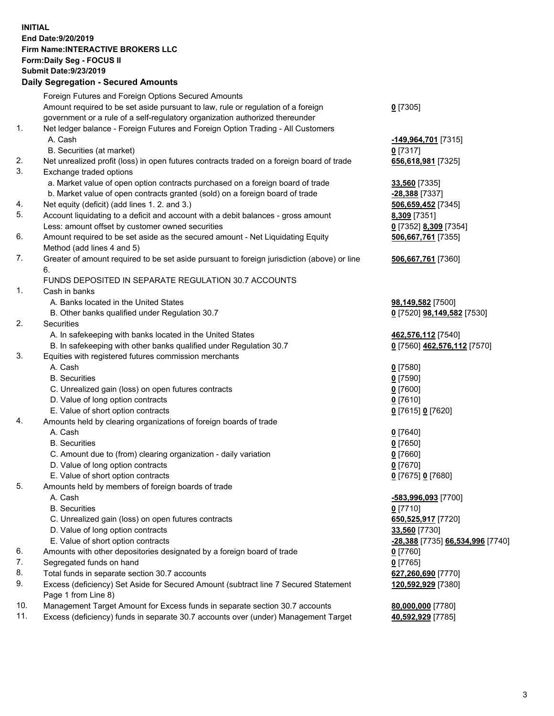## **INITIAL End Date:9/20/2019 Firm Name:INTERACTIVE BROKERS LLC Form:Daily Seg - FOCUS II Submit Date:9/23/2019 Daily Segregation - Secured Amounts**

|                | Daily Ocglegation - Occuled Aniounts                                                        |                                  |
|----------------|---------------------------------------------------------------------------------------------|----------------------------------|
|                | Foreign Futures and Foreign Options Secured Amounts                                         |                                  |
|                | Amount required to be set aside pursuant to law, rule or regulation of a foreign            | $0$ [7305]                       |
|                | government or a rule of a self-regulatory organization authorized thereunder                |                                  |
| $\mathbf{1}$ . | Net ledger balance - Foreign Futures and Foreign Option Trading - All Customers             |                                  |
|                | A. Cash                                                                                     | -149,964,701 [7315]              |
|                | B. Securities (at market)                                                                   | $0$ [7317]                       |
| 2.             | Net unrealized profit (loss) in open futures contracts traded on a foreign board of trade   | 656,618,981 [7325]               |
| 3.             | Exchange traded options                                                                     |                                  |
|                | a. Market value of open option contracts purchased on a foreign board of trade              | 33,560 [7335]                    |
|                | b. Market value of open contracts granted (sold) on a foreign board of trade                | -28,388 [7337]                   |
| 4.             | Net equity (deficit) (add lines 1.2. and 3.)                                                | 506,659,452 [7345]               |
| 5.             | Account liquidating to a deficit and account with a debit balances - gross amount           | 8,309 [7351]                     |
|                | Less: amount offset by customer owned securities                                            | 0 [7352] 8,309 [7354]            |
| 6.             | Amount required to be set aside as the secured amount - Net Liquidating Equity              | 506,667,761 [7355]               |
|                | Method (add lines 4 and 5)                                                                  |                                  |
| 7.             | Greater of amount required to be set aside pursuant to foreign jurisdiction (above) or line | 506,667,761 [7360]               |
|                | 6.                                                                                          |                                  |
|                | FUNDS DEPOSITED IN SEPARATE REGULATION 30.7 ACCOUNTS                                        |                                  |
| 1.             | Cash in banks                                                                               |                                  |
|                | A. Banks located in the United States                                                       | 98,149,582 [7500]                |
|                | B. Other banks qualified under Regulation 30.7                                              | 0 [7520] 98,149,582 [7530]       |
| 2.             | Securities                                                                                  |                                  |
|                | A. In safekeeping with banks located in the United States                                   | 462,576,112 [7540]               |
|                | B. In safekeeping with other banks qualified under Regulation 30.7                          | 0 [7560] 462,576,112 [7570]      |
| 3.             | Equities with registered futures commission merchants                                       |                                  |
|                | A. Cash                                                                                     | $0$ [7580]                       |
|                | <b>B.</b> Securities                                                                        | $0$ [7590]                       |
|                | C. Unrealized gain (loss) on open futures contracts                                         | $0$ [7600]                       |
|                | D. Value of long option contracts                                                           | $0$ [7610]                       |
|                | E. Value of short option contracts                                                          | 0 [7615] 0 [7620]                |
| 4.             | Amounts held by clearing organizations of foreign boards of trade                           |                                  |
|                | A. Cash                                                                                     | $0$ [7640]                       |
|                | <b>B.</b> Securities                                                                        | $0$ [7650]                       |
|                | C. Amount due to (from) clearing organization - daily variation                             | $0$ [7660]                       |
|                | D. Value of long option contracts                                                           | $0$ [7670]                       |
|                | E. Value of short option contracts                                                          | 0 [7675] 0 [7680]                |
| 5.             | Amounts held by members of foreign boards of trade                                          |                                  |
|                | A. Cash                                                                                     | -583,996,093 [7700]              |
|                | <b>B.</b> Securities                                                                        | $0$ [7710]                       |
|                | C. Unrealized gain (loss) on open futures contracts                                         | 650, 525, 917 [7720]             |
|                | D. Value of long option contracts                                                           | 33,560 [7730]                    |
|                | E. Value of short option contracts                                                          | -28,388 [7735] 66,534,996 [7740] |
| 6.             | Amounts with other depositories designated by a foreign board of trade                      | 0 [7760]                         |
| 7.             | Segregated funds on hand                                                                    | $0$ [7765]                       |
| 8.             | Total funds in separate section 30.7 accounts                                               | 627,260,690 [7770]               |
| 9.             | Excess (deficiency) Set Aside for Secured Amount (subtract line 7 Secured Statement         | 120,592,929 [7380]               |
|                | Page 1 from Line 8)                                                                         |                                  |
| 10.            | Management Target Amount for Excess funds in separate section 30.7 accounts                 | 80,000,000 [7780]                |
| 11.            | Excess (deficiency) funds in separate 30.7 accounts over (under) Management Target          | 40,592,929 [7785]                |
|                |                                                                                             |                                  |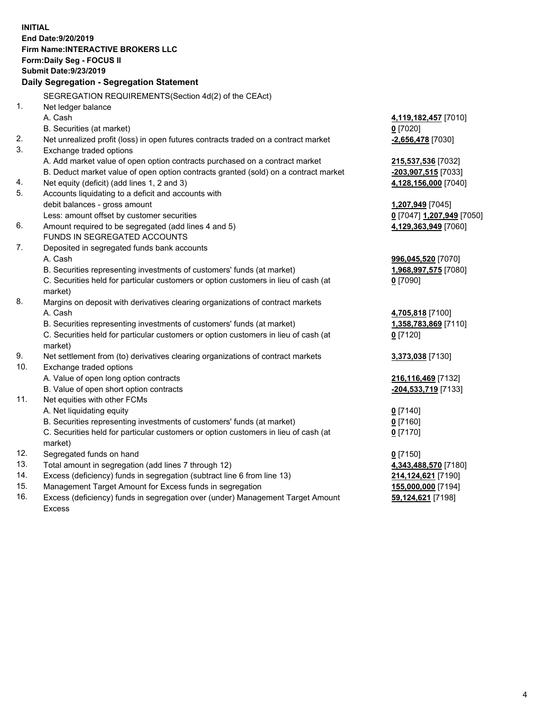**INITIAL End Date:9/20/2019 Firm Name:INTERACTIVE BROKERS LLC Form:Daily Seg - FOCUS II Submit Date:9/23/2019 Daily Segregation - Segregation Statement** SEGREGATION REQUIREMENTS(Section 4d(2) of the CEAct) 1. Net ledger balance A. Cash **4,119,182,457** [7010] B. Securities (at market) **0** [7020] 2. Net unrealized profit (loss) in open futures contracts traded on a contract market **-2,656,478** [7030] 3. Exchange traded options A. Add market value of open option contracts purchased on a contract market **215,537,536** [7032] B. Deduct market value of open option contracts granted (sold) on a contract market **-203,907,515** [7033] 4. Net equity (deficit) (add lines 1, 2 and 3) **4,128,156,000** [7040] 5. Accounts liquidating to a deficit and accounts with debit balances - gross amount **1,207,949** [7045] Less: amount offset by customer securities **0** [7047] **1,207,949** [7050] 6. Amount required to be segregated (add lines 4 and 5) **4,129,363,949** [7060] FUNDS IN SEGREGATED ACCOUNTS 7. Deposited in segregated funds bank accounts A. Cash **996,045,520** [7070] B. Securities representing investments of customers' funds (at market) **1,968,997,575** [7080] C. Securities held for particular customers or option customers in lieu of cash (at market) **0** [7090] 8. Margins on deposit with derivatives clearing organizations of contract markets A. Cash **4,705,818** [7100] B. Securities representing investments of customers' funds (at market) **1,358,783,869** [7110] C. Securities held for particular customers or option customers in lieu of cash (at market) **0** [7120] 9. Net settlement from (to) derivatives clearing organizations of contract markets **3,373,038** [7130] 10. Exchange traded options A. Value of open long option contracts **216,116,469** [7132] B. Value of open short option contracts **-204,533,719** [7133] 11. Net equities with other FCMs A. Net liquidating equity **0** [7140] B. Securities representing investments of customers' funds (at market) **0** [7160] C. Securities held for particular customers or option customers in lieu of cash (at market) **0** [7170] 12. Segregated funds on hand **0** [7150] 13. Total amount in segregation (add lines 7 through 12) **4,343,488,570** [7180] 14. Excess (deficiency) funds in segregation (subtract line 6 from line 13) **214,124,621** [7190] 15. Management Target Amount for Excess funds in segregation **155,000,000** [7194]

16. Excess (deficiency) funds in segregation over (under) Management Target Amount Excess

**59,124,621** [7198]